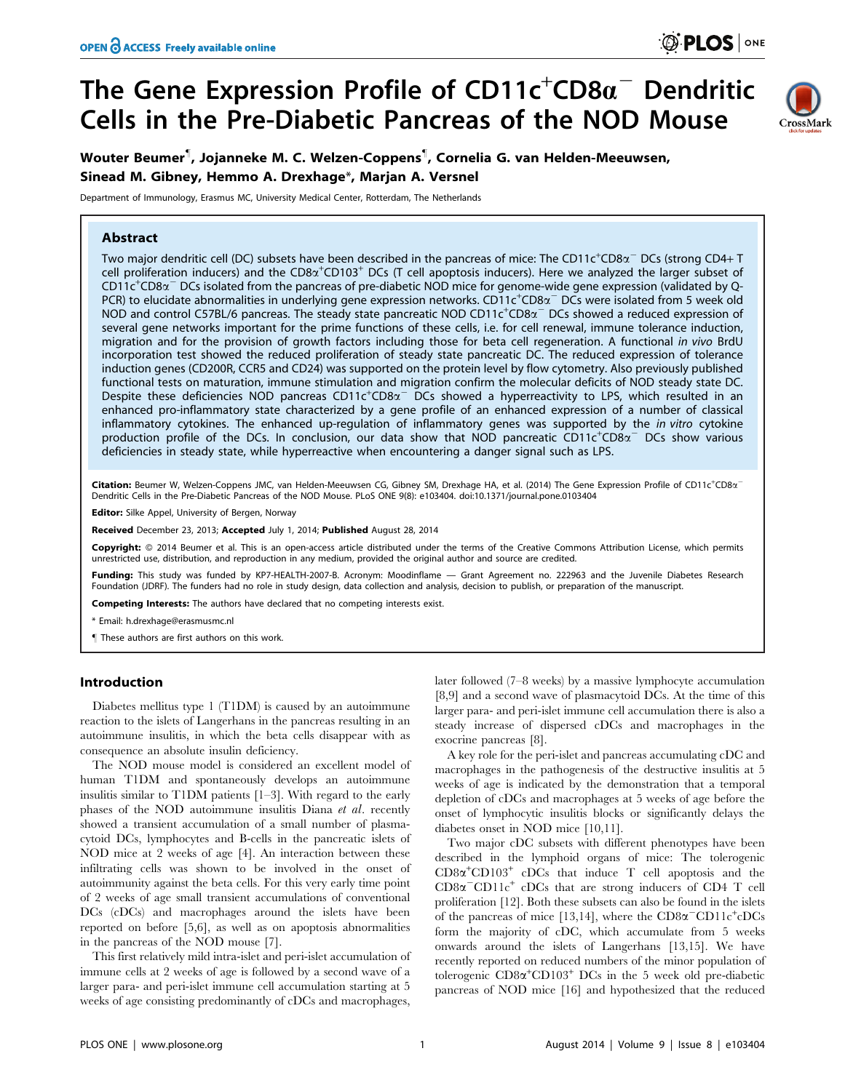# The Gene Expression Profile of CD11c $^\mathrm{+}$ CD8 $a^\mathrm{-}$  Dendritic Cells in the Pre-Diabetic Pancreas of the NOD Mouse



Wouter Beumer" , Jojanneke M. C. Welzen-Coppens" , Cornelia G. van Helden-Meeuwsen, Sinead M. Gibney, Hemmo A. Drexhage\*, Marjan A. Versnel

Department of Immunology, Erasmus MC, University Medical Center, Rotterdam, The Netherlands

## **Abstract**

Two major dendritic cell (DC) subsets have been described in the pancreas of mice: The CD11c<sup>+</sup>CD8 $\alpha^-$  DCs (strong CD4+ T cell proliferation inducers) and the CD8 $\alpha^+$ CD103<sup>+</sup> DCs (T cell apoptosis inducers). Here we analyzed the larger subset of  $CD11c^+CD8\alpha^-$  DCs isolated from the pancreas of pre-diabetic NOD mice for genome-wide gene expression (validated by Q-PCR) to elucidate abnormalities in underlying gene expression networks. CD11c<sup>+</sup>CD8 $\alpha^-$ DCs were isolated from 5 week old NOD and control C57BL/6 pancreas. The steady state pancreatic NOD CD11c<sup>+</sup>CD8a<sup>-</sup> DCs showed a reduced expression of several gene networks important for the prime functions of these cells, i.e. for cell renewal, immune tolerance induction, migration and for the provision of growth factors including those for beta cell regeneration. A functional in vivo BrdU incorporation test showed the reduced proliferation of steady state pancreatic DC. The reduced expression of tolerance induction genes (CD200R, CCR5 and CD24) was supported on the protein level by flow cytometry. Also previously published functional tests on maturation, immune stimulation and migration confirm the molecular deficits of NOD steady state DC. Despite these deficiencies NOD pancreas CD11c<sup>+</sup>CD8 $\alpha$ <sup>-</sup> DCs showed a hyperreactivity to LPS, which resulted in an enhanced pro-inflammatory state characterized by a gene profile of an enhanced expression of a number of classical inflammatory cytokines. The enhanced up-regulation of inflammatory genes was supported by the in vitro cytokine production profile of the DCs. In conclusion, our data show that NOD pancreatic CD11c<sup>+</sup>CD8x<sup>-</sup> DCs show various deficiencies in steady state, while hyperreactive when encountering a danger signal such as LPS.

Citation: Beumer W, Welzen-Coppens JMC, van Helden-Meeuwsen CG, Gibney SM, Drexhage HA, et al. (2014) The Gene Expression Profile of CD11c<sup>+</sup>CD8a<sup>-</sup> Dendritic Cells in the Pre-Diabetic Pancreas of the NOD Mouse. PLoS ONE 9(8): e103404. doi:10.1371/journal.pone.0103404

Editor: Silke Appel, University of Bergen, Norway

Received December 23, 2013; Accepted July 1, 2014; Published August 28, 2014

Copyright: @ 2014 Beumer et al. This is an open-access article distributed under the terms of the [Creative Commons Attribution License,](http://creativecommons.org/licenses/by/4.0/) which permits unrestricted use, distribution, and reproduction in any medium, provided the original author and source are credited.

Funding: This study was funded by KP7-HEALTH-2007-B. Acronym: Moodinflame — Grant Agreement no. 222963 and the Juvenile Diabetes Research Foundation (JDRF). The funders had no role in study design, data collection and analysis, decision to publish, or preparation of the manuscript.

Competing Interests: The authors have declared that no competing interests exist.

\* Email: h.drexhage@erasmusmc.nl

" These authors are first authors on this work.

## Introduction

Diabetes mellitus type 1 (T1DM) is caused by an autoimmune reaction to the islets of Langerhans in the pancreas resulting in an autoimmune insulitis, in which the beta cells disappear with as consequence an absolute insulin deficiency.

The NOD mouse model is considered an excellent model of human T1DM and spontaneously develops an autoimmune insulitis similar to T1DM patients [1–3]. With regard to the early phases of the NOD autoimmune insulitis Diana et al. recently showed a transient accumulation of a small number of plasmacytoid DCs, lymphocytes and B-cells in the pancreatic islets of NOD mice at 2 weeks of age [4]. An interaction between these infiltrating cells was shown to be involved in the onset of autoimmunity against the beta cells. For this very early time point of 2 weeks of age small transient accumulations of conventional DCs (cDCs) and macrophages around the islets have been reported on before [5,6], as well as on apoptosis abnormalities in the pancreas of the NOD mouse [7].

This first relatively mild intra-islet and peri-islet accumulation of immune cells at 2 weeks of age is followed by a second wave of a larger para- and peri-islet immune cell accumulation starting at 5 weeks of age consisting predominantly of cDCs and macrophages,

later followed (7–8 weeks) by a massive lymphocyte accumulation [8,9] and a second wave of plasmacytoid DCs. At the time of this larger para- and peri-islet immune cell accumulation there is also a steady increase of dispersed cDCs and macrophages in the exocrine pancreas [8].

A key role for the peri-islet and pancreas accumulating cDC and macrophages in the pathogenesis of the destructive insulitis at 5 weeks of age is indicated by the demonstration that a temporal depletion of cDCs and macrophages at 5 weeks of age before the onset of lymphocytic insulitis blocks or significantly delays the diabetes onset in NOD mice [10,11].

Two major cDC subsets with different phenotypes have been described in the lymphoid organs of mice: The tolerogenic  $CD8\alpha^+ CD103^+$  cDCs that induce T cell apoptosis and the  $CD8\alpha$ <sup>-</sup>CD11c<sup>+</sup> cDCs that are strong inducers of CD4 T cell proliferation [12]. Both these subsets can also be found in the islets of the pancreas of mice [13,14], where the  $CD8\alpha$ <sup>-</sup>CD11c<sup>+</sup>cDCs</sub> form the majority of cDC, which accumulate from 5 weeks onwards around the islets of Langerhans [13,15]. We have recently reported on reduced numbers of the minor population of tolerogenic CD8 $\alpha$ <sup>+</sup>CD103<sup>+</sup> DCs in the 5 week old pre-diabetic pancreas of NOD mice [16] and hypothesized that the reduced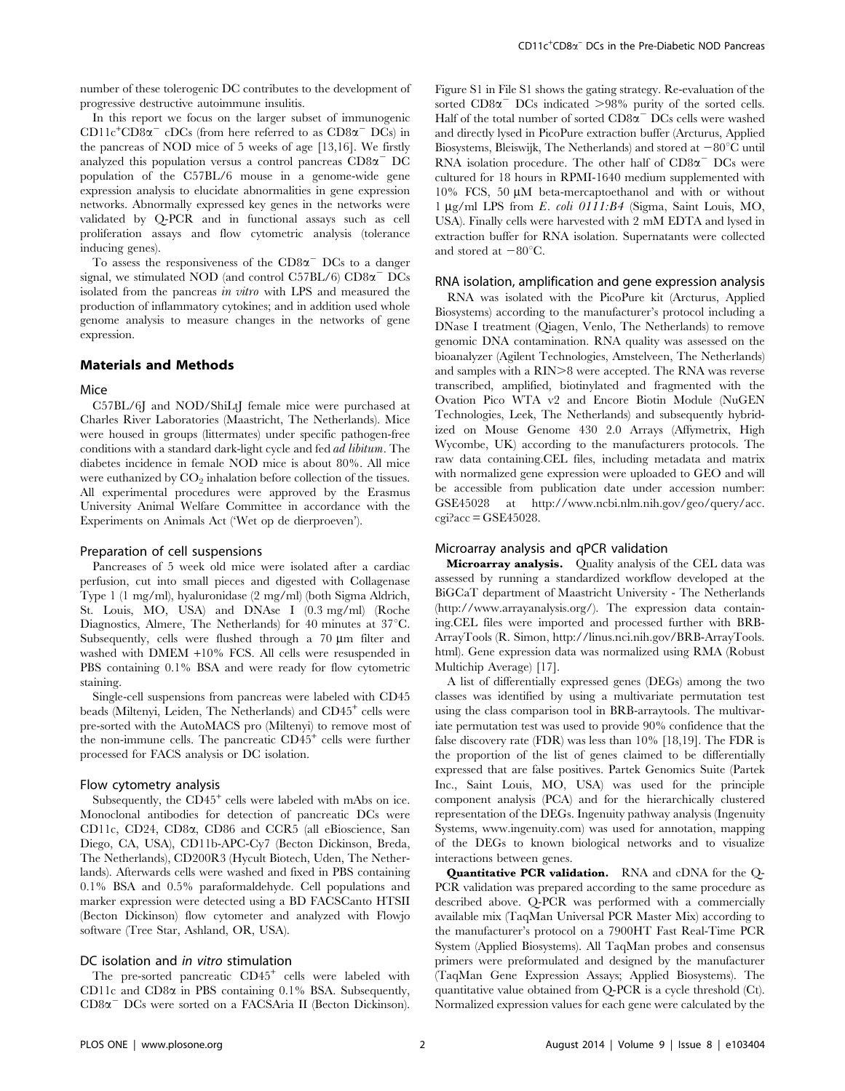number of these tolerogenic DC contributes to the development of progressive destructive autoimmune insulitis.

In this report we focus on the larger subset of immunogenic  $CD11c^{+}CD8\alpha^{-}$  cDCs (from here referred to as  $CD8\alpha^{-}$  DCs) in the pancreas of NOD mice of 5 weeks of age [13,16]. We firstly analyzed this population versus a control pancreas  $CD8\alpha$ <sup>-</sup> DC population of the C57BL/6 mouse in a genome-wide gene expression analysis to elucidate abnormalities in gene expression networks. Abnormally expressed key genes in the networks were validated by Q-PCR and in functional assays such as cell proliferation assays and flow cytometric analysis (tolerance inducing genes).

To assess the responsiveness of the  $CD8\alpha$ <sup>-</sup> DCs to a danger signal, we stimulated NOD (and control C57BL/6)  $CD8\alpha$ <sup>-</sup> DCs isolated from the pancreas in vitro with LPS and measured the production of inflammatory cytokines; and in addition used whole genome analysis to measure changes in the networks of gene expression.

## Materials and Methods

#### **Mice**

C57BL/6J and NOD/ShiLtJ female mice were purchased at Charles River Laboratories (Maastricht, The Netherlands). Mice were housed in groups (littermates) under specific pathogen-free conditions with a standard dark-light cycle and fed ad libitum. The diabetes incidence in female NOD mice is about 80%. All mice were euthanized by  $CO<sub>2</sub>$  inhalation before collection of the tissues. All experimental procedures were approved by the Erasmus University Animal Welfare Committee in accordance with the Experiments on Animals Act ('Wet op de dierproeven').

#### Preparation of cell suspensions

Pancreases of 5 week old mice were isolated after a cardiac perfusion, cut into small pieces and digested with Collagenase Type 1 (1 mg/ml), hyaluronidase (2 mg/ml) (both Sigma Aldrich, St. Louis, MO, USA) and DNAse I (0.3 mg/ml) (Roche Diagnostics, Almere, The Netherlands) for 40 minutes at  $37^{\circ}$ C. Subsequently, cells were flushed through a  $70 \mu m$  filter and washed with DMEM +10% FCS. All cells were resuspended in PBS containing 0.1% BSA and were ready for flow cytometric staining.

Single-cell suspensions from pancreas were labeled with CD45 beads (Miltenyi, Leiden, The Netherlands) and CD45<sup>+</sup> cells were pre-sorted with the AutoMACS pro (Miltenyi) to remove most of the non-immune cells. The pancreatic  $CD45<sup>+</sup>$  cells were further processed for FACS analysis or DC isolation.

#### Flow cytometry analysis

Subsequently, the CD45<sup>+</sup> cells were labeled with mAbs on ice. Monoclonal antibodies for detection of pancreatic DCs were CD11c, CD24, CD8a, CD86 and CCR5 (all eBioscience, San Diego, CA, USA), CD11b-APC-Cy7 (Becton Dickinson, Breda, The Netherlands), CD200R3 (Hycult Biotech, Uden, The Netherlands). Afterwards cells were washed and fixed in PBS containing 0.1% BSA and 0.5% paraformaldehyde. Cell populations and marker expression were detected using a BD FACSCanto HTSII (Becton Dickinson) flow cytometer and analyzed with Flowjo software (Tree Star, Ashland, OR, USA).

#### DC isolation and *in vitro* stimulation

The pre-sorted pancreatic CD45<sup>+</sup> cells were labeled with CD11c and CD8 $\alpha$  in PBS containing 0.1% BSA. Subsequently,  $CD8\alpha$ <sup>-</sup> DCs were sorted on a FACSAria II (Becton Dickinson). Figure S1 in File S1 shows the gating strategy. Re-evaluation of the sorted  $CD8\alpha$ <sup>-</sup> DCs indicated  $>98\%$  purity of the sorted cells. Half of the total number of sorted  $CD8\alpha$ <sup>-</sup> DCs cells were washed and directly lysed in PicoPure extraction buffer (Arcturus, Applied Biosystems, Bleiswijk, The Netherlands) and stored at  $-80^{\circ}$ C until RNA isolation procedure. The other half of  $CD8\alpha$ <sup>-</sup> DCs were cultured for 18 hours in RPMI-1640 medium supplemented with  $10\%$  FCS, 50  $\mu$ M beta-mercaptoethanol and with or without 1 mg/ml LPS from E. coli 0111:B4 (Sigma, Saint Louis, MO, USA). Finally cells were harvested with 2 mM EDTA and lysed in extraction buffer for RNA isolation. Supernatants were collected and stored at  $-80^{\circ}$ C.

#### RNA isolation, amplification and gene expression analysis

RNA was isolated with the PicoPure kit (Arcturus, Applied Biosystems) according to the manufacturer's protocol including a DNase I treatment (Qiagen, Venlo, The Netherlands) to remove genomic DNA contamination. RNA quality was assessed on the bioanalyzer (Agilent Technologies, Amstelveen, The Netherlands) and samples with a  $\text{RIN} > 8$  were accepted. The RNA was reverse transcribed, amplified, biotinylated and fragmented with the Ovation Pico WTA v2 and Encore Biotin Module (NuGEN Technologies, Leek, The Netherlands) and subsequently hybridized on Mouse Genome 430 2.0 Arrays (Affymetrix, High Wycombe, UK) according to the manufacturers protocols. The raw data containing.CEL files, including metadata and matrix with normalized gene expression were uploaded to GEO and will be accessible from publication date under accession number: GSE45028 at http://www.ncbi.nlm.nih.gov/geo/query/acc.  $cc\bar{c} = GSE45028.$ 

## Microarray analysis and qPCR validation

Microarray analysis. Quality analysis of the CEL data was assessed by running a standardized workflow developed at the BiGCaT department of Maastricht University - The Netherlands (http://www.arrayanalysis.org/). The expression data containing.CEL files were imported and processed further with BRB-ArrayTools (R. Simon, http://linus.nci.nih.gov/BRB-ArrayTools. html). Gene expression data was normalized using RMA (Robust Multichip Average) [17].

A list of differentially expressed genes (DEGs) among the two classes was identified by using a multivariate permutation test using the class comparison tool in BRB-arraytools. The multivariate permutation test was used to provide 90% confidence that the false discovery rate (FDR) was less than 10% [18,19]. The FDR is the proportion of the list of genes claimed to be differentially expressed that are false positives. Partek Genomics Suite (Partek Inc., Saint Louis, MO, USA) was used for the principle component analysis (PCA) and for the hierarchically clustered representation of the DEGs. Ingenuity pathway analysis (Ingenuity Systems, www.ingenuity.com) was used for annotation, mapping of the DEGs to known biological networks and to visualize interactions between genes.

Quantitative PCR validation. RNA and cDNA for the Q-PCR validation was prepared according to the same procedure as described above. Q-PCR was performed with a commercially available mix (TaqMan Universal PCR Master Mix) according to the manufacturer's protocol on a 7900HT Fast Real-Time PCR System (Applied Biosystems). All TaqMan probes and consensus primers were preformulated and designed by the manufacturer (TaqMan Gene Expression Assays; Applied Biosystems). The quantitative value obtained from Q-PCR is a cycle threshold (Ct). Normalized expression values for each gene were calculated by the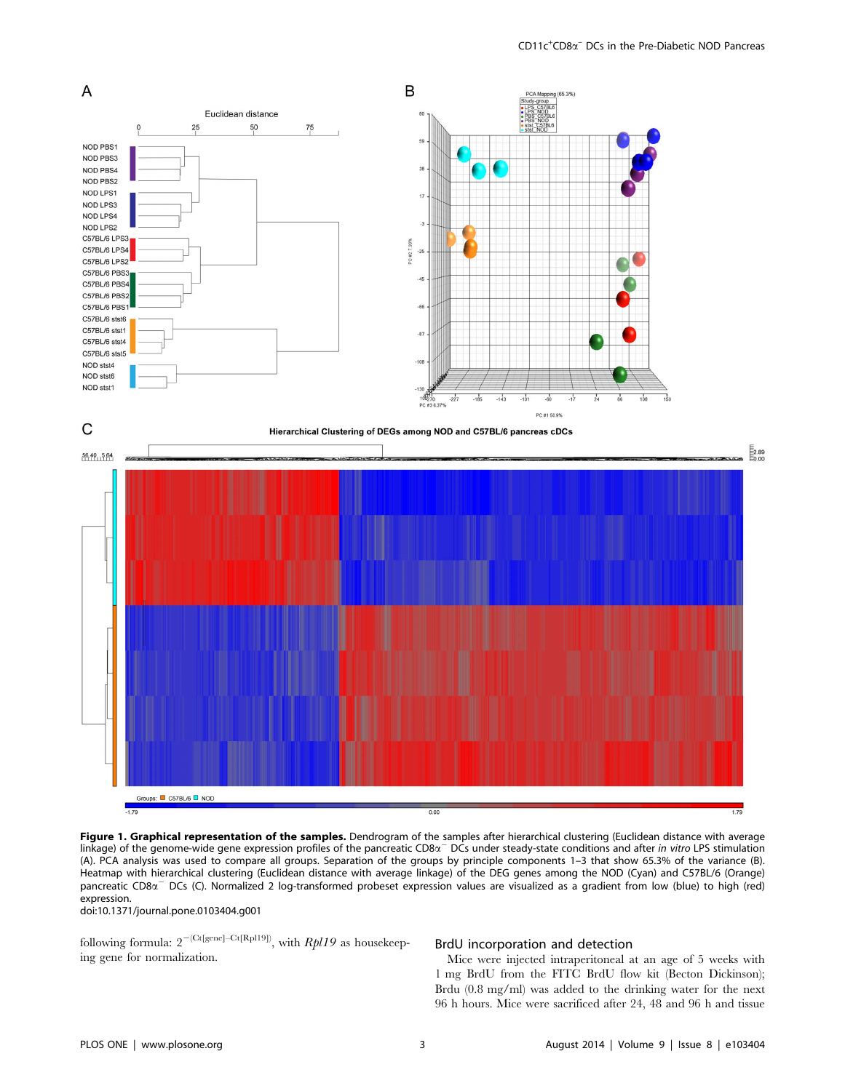

Figure 1. Graphical representation of the samples. Dendrogram of the samples after hierarchical clustering (Euclidean distance with average linkage) of the genome-wide gene expression profiles of the pancreatic CD8 $\alpha$ <sup>-</sup> DCs under steady-state conditions and after in vitro LPS stimulation (A). PCA analysis was used to compare all groups. Separation of the groups by principle components 1–3 that show 65.3% of the variance (B). Heatmap with hierarchical clustering (Euclidean distance with average linkage) of the DEG genes among the NOD (Cyan) and C57BL/6 (Orange) pancreatic CD8 $\alpha$ <sup>-</sup> DCs (C). Normalized 2 log-transformed probeset expression values are visualized as a gradient from low (blue) to high (red) expression.

doi:10.1371/journal.pone.0103404.g001

following formula:  $2^{-(Ct[gene]-Ct[Rpl19])}$ , with  $Rbl19$  as housekeeping gene for normalization.

#### BrdU incorporation and detection

Mice were injected intraperitoneal at an age of 5 weeks with 1 mg BrdU from the FITC BrdU flow kit (Becton Dickinson); Brdu (0.8 mg/ml) was added to the drinking water for the next 96 h hours. Mice were sacrificed after 24, 48 and 96 h and tissue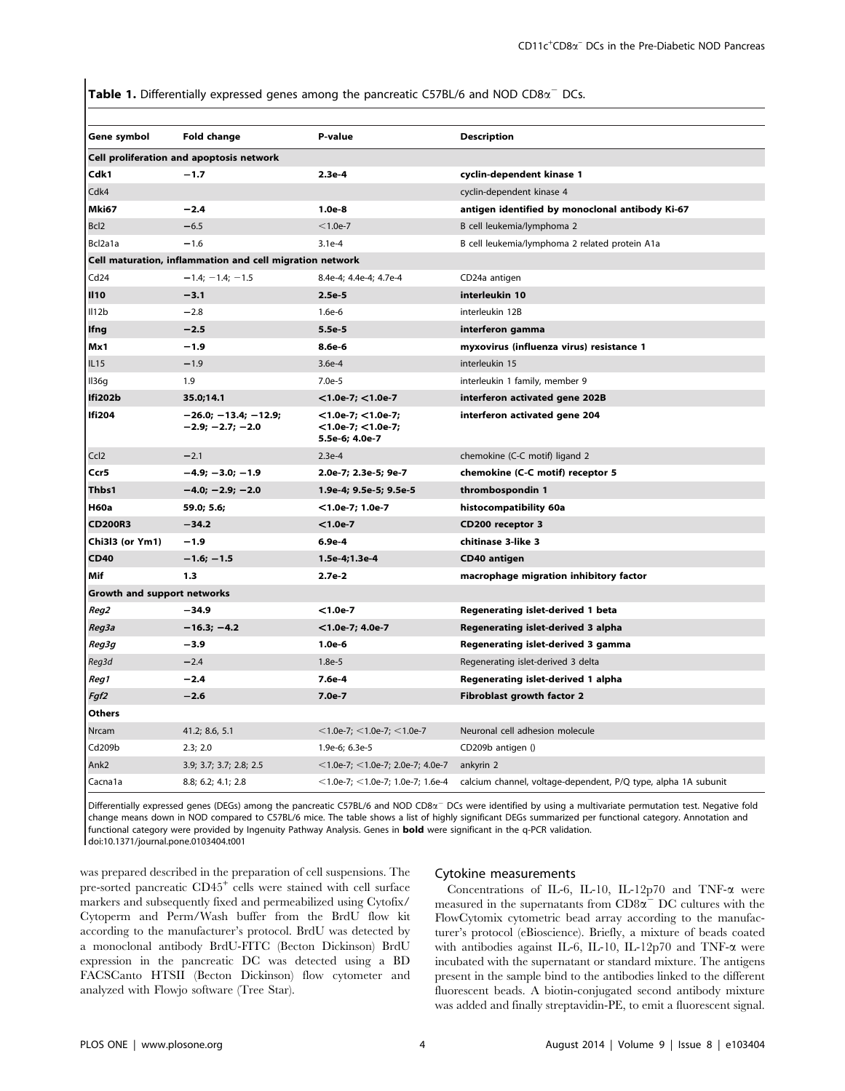**Table 1.** Differentially expressed genes among the pancreatic C57BL/6 and NOD CD8 $\alpha$ <sup>-</sup> DCs.

| Gene symbol                                              | Fold change                                  | P-value                                                        | <b>Description</b>                                             |  |  |
|----------------------------------------------------------|----------------------------------------------|----------------------------------------------------------------|----------------------------------------------------------------|--|--|
| Cell proliferation and apoptosis network                 |                                              |                                                                |                                                                |  |  |
| Cdk1                                                     | $-1.7$                                       | $2.3e-4$                                                       | cyclin-dependent kinase 1                                      |  |  |
| Cdk4                                                     |                                              |                                                                | cyclin-dependent kinase 4                                      |  |  |
| Mki67                                                    | $-2.4$                                       | $1.0e-8$                                                       | antigen identified by monoclonal antibody Ki-67                |  |  |
| Bcl <sub>2</sub>                                         | $-6.5$                                       | $< 1.0e-7$                                                     | B cell leukemia/lymphoma 2                                     |  |  |
| Bcl2a1a                                                  | $-1.6$                                       | $3.1e-4$                                                       | B cell leukemia/lymphoma 2 related protein A1a                 |  |  |
| Cell maturation, inflammation and cell migration network |                                              |                                                                |                                                                |  |  |
| Cd24                                                     | $-1.4; -1.4; -1.5$                           | 8.4e-4; 4.4e-4; 4.7e-4                                         | CD24a antigen                                                  |  |  |
| <b>II10</b>                                              | $-3.1$                                       | $2.5e-5$                                                       | interleukin 10                                                 |  |  |
| II12b                                                    | $-2.8$                                       | $1.6e-6$                                                       | interleukin 12B                                                |  |  |
| lfng                                                     | $-2.5$                                       | 5.5e-5                                                         | interferon gamma                                               |  |  |
| Mx1                                                      | $-1.9$                                       | 8.6e-6<br>myxovirus (influenza virus) resistance 1             |                                                                |  |  |
| IL <sub>15</sub>                                         | $-1.9$                                       | $3.6e-4$                                                       | interleukin 15                                                 |  |  |
| II36g                                                    | 1.9                                          | $7.0e-5$                                                       | interleukin 1 family, member 9                                 |  |  |
| Ifi202b                                                  | 35.0;14.1                                    | $<$ 1.0e-7; $<$ 1.0e-7                                         | interferon activated gene 202B                                 |  |  |
| <b>Ifi204</b>                                            | $-26.0; -13.4; -12.9;$<br>$-2.9; -2.7; -2.0$ | $<$ 1.0e-7; $<$ 1.0e-7;<br><1.0e-7; <1.0e-7;<br>5.5e-6; 4.0e-7 | interferon activated gene 204                                  |  |  |
| Ccl2                                                     | $-2.1$                                       | $2.3e-4$                                                       | chemokine (C-C motif) ligand 2                                 |  |  |
| Ccr5                                                     | $-4.9; -3.0; -1.9$                           | 2.0e-7; 2.3e-5; 9e-7                                           | chemokine (C-C motif) receptor 5                               |  |  |
| Thbs1                                                    | $-4.0; -2.9; -2.0$                           | 1.9e-4; 9.5e-5; 9.5e-5                                         | thrombospondin 1                                               |  |  |
| <b>H60a</b>                                              | 59.0; 5.6;                                   | $<$ 1.0e-7; 1.0e-7                                             | histocompatibility 60a                                         |  |  |
| <b>CD200R3</b>                                           | $-34.2$                                      | $< 1.0e-7$                                                     | CD200 receptor 3                                               |  |  |
| Chi3l3 (or Ym1)                                          | $-1.9$                                       | 6.9e-4                                                         | chitinase 3-like 3                                             |  |  |
| <b>CD40</b>                                              | $-1.6; -1.5$                                 | 1.5e-4;1.3e-4                                                  | CD40 antigen                                                   |  |  |
| Mif                                                      | 1.3                                          | $2.7e-2$                                                       | macrophage migration inhibitory factor                         |  |  |
| Growth and support networks                              |                                              |                                                                |                                                                |  |  |
| Reg2                                                     | $-34.9$                                      | $< 1.0e-7$                                                     | Regenerating islet-derived 1 beta                              |  |  |
| Reg3a                                                    | $-16.3; -4.2$                                | $<$ 1.0e-7; 4.0e-7                                             | Regenerating islet-derived 3 alpha                             |  |  |
| Reg3g                                                    | $-3.9$                                       | $1.0e-6$                                                       | Regenerating islet-derived 3 gamma                             |  |  |
| Reg3d                                                    | $-2.4$                                       | $1.8e-5$                                                       | Regenerating islet-derived 3 delta                             |  |  |
| Reg1                                                     | $-2.4$                                       | 7.6e-4                                                         | Regenerating islet-derived 1 alpha                             |  |  |
| Fgf2                                                     | $-2.6$                                       | $7.0e-7$                                                       | <b>Fibroblast growth factor 2</b>                              |  |  |
| <b>Others</b>                                            |                                              |                                                                |                                                                |  |  |
| Nrcam                                                    | 41.2; 8.6, 5.1                               | $<$ 1.0e-7; $<$ 1.0e-7; $<$ 1.0e-7                             | Neuronal cell adhesion molecule                                |  |  |
| Cd209b                                                   | 2.3; 2.0                                     | 1.9e-6; 6.3e-5                                                 | CD209b antigen ()                                              |  |  |
| Ank2                                                     | 3.9; 3.7; 3.7; 2.8; 2.5                      | $<$ 1.0e-7; $<$ 1.0e-7; 2.0e-7; 4.0e-7                         | ankyrin 2                                                      |  |  |
| Cacna1a                                                  | 8.8; 6.2; 4.1; 2.8                           | $<$ 1.0e-7; $<$ 1.0e-7; 1.0e-7; 1.6e-4                         | calcium channel, voltage-dependent, P/Q type, alpha 1A subunit |  |  |

Differentially expressed genes (DEGs) among the pancreatic C57BL/6 and NOD CD8 $\alpha$ <sup>-</sup> DCs were identified by using a multivariate permutation test. Negative fold change means down in NOD compared to C57BL/6 mice. The table shows a list of highly significant DEGs summarized per functional category. Annotation and functional category were provided by Ingenuity Pathway Analysis. Genes in bold were significant in the q-PCR validation. doi:10.1371/journal.pone.0103404.t001

was prepared described in the preparation of cell suspensions. The pre-sorted pancreatic CD45<sup>+</sup> cells were stained with cell surface markers and subsequently fixed and permeabilized using Cytofix/ Cytoperm and Perm/Wash buffer from the BrdU flow kit according to the manufacturer's protocol. BrdU was detected by a monoclonal antibody BrdU-FITC (Becton Dickinson) BrdU expression in the pancreatic DC was detected using a BD FACSCanto HTSII (Becton Dickinson) flow cytometer and analyzed with Flowjo software (Tree Star).

#### Cytokine measurements

Concentrations of IL-6, IL-10, IL-12p70 and TNF- $\alpha$  were measured in the supernatants from  $CD8\alpha$ <sup>-</sup> DC cultures with the FlowCytomix cytometric bead array according to the manufacturer's protocol (eBioscience). Briefly, a mixture of beads coated with antibodies against IL-6, IL-10, IL-12p70 and TNF-a were incubated with the supernatant or standard mixture. The antigens present in the sample bind to the antibodies linked to the different fluorescent beads. A biotin-conjugated second antibody mixture was added and finally streptavidin-PE, to emit a fluorescent signal.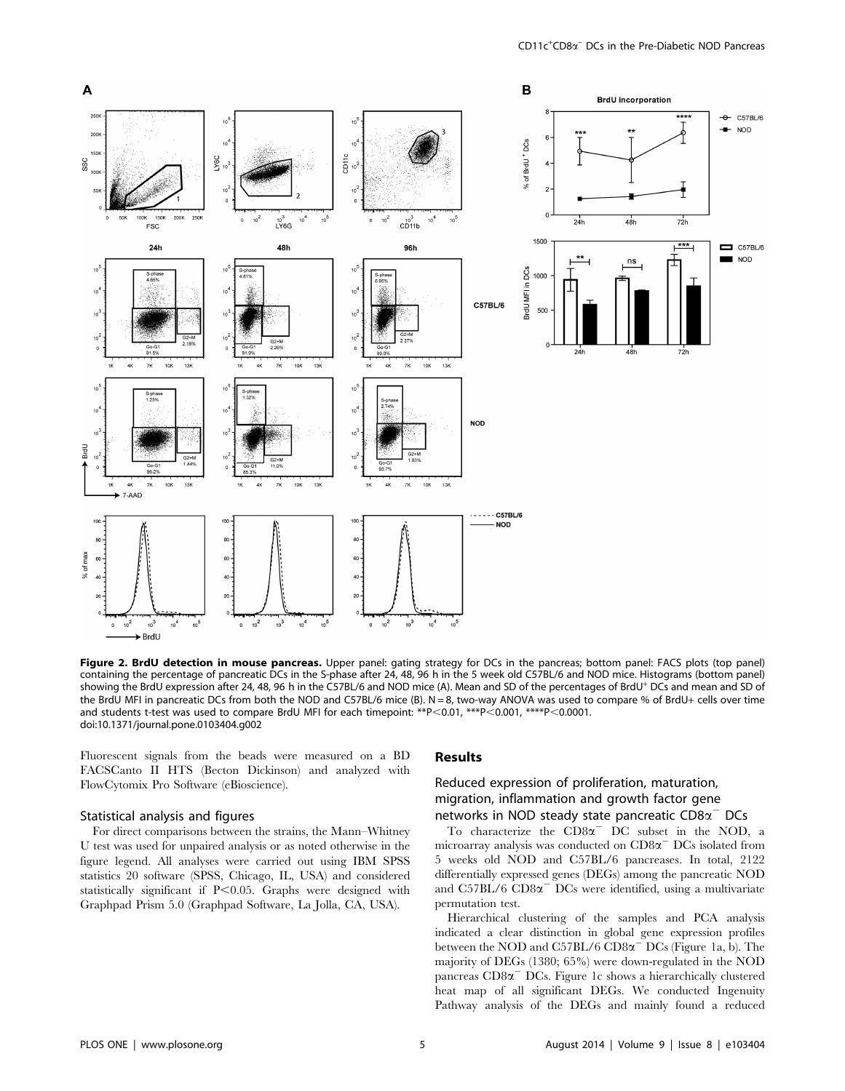

Figure 2. BrdU detection in mouse pancreas. Upper panel: gating strategy for DCs in the pancreas; bottom panel: FACS plots (top panel) containing the percentage of pancreatic DCs in the S-phase after 24, 48, 96 h in the 5 week old C57BL/6 and NOD mice. Histograms (bottom panel) showing the BrdU expression after 24, 48, 96 h in the C57BL/6 and NOD mice (A). Mean and SD of the percentages of BrdU<sup>+</sup> DCs and mean and SD of the BrdU MFI in pancreatic DCs from both the NOD and C57BL/6 mice (B). N = 8, two-way ANOVA was used to compare % of BrdU+ cells over time and students t-test was used to compare BrdU MFI for each timepoint: \*\*P<0.01, \*\*\*P<0.001, \*\*\*\*P<0.0001. doi:10.1371/journal.pone.0103404.g002

Fluorescent signals from the beads were measured on a BD FACSCanto II HTS (Becton Dickinson) and analyzed with FlowCytomix Pro Software (eBioscience).

## Statistical analysis and figures

For direct comparisons between the strains, the Mann–Whitney U test was used for unpaired analysis or as noted otherwise in the figure legend. All analyses were carried out using IBM SPSS statistics 20 software (SPSS, Chicago, IL, USA) and considered statistically significant if  $P<0.05$ . Graphs were designed with Graphpad Prism 5.0 (Graphpad Software, La Jolla, CA, USA).

## Results

## Reduced expression of proliferation, maturation, migration, inflammation and growth factor gene networks in NOD steady state pancreatic  $CD8\alpha$ <sup>-</sup> DCs

To characterize the  $CD8\alpha$ <sup>-</sup> DC subset in the NOD, a microarray analysis was conducted on  $CD8\alpha$ <sup>-</sup> DCs isolated from 5 weeks old NOD and C57BL/6 pancreases. In total, 2122 differentially expressed genes (DEGs) among the pancreatic NOD and  $C57BL/6$   $CD8\alpha$ <sup>-</sup>  $DCs$  were identified, using a multivariate permutation test.

Hierarchical clustering of the samples and PCA analysis indicated a clear distinction in global gene expression profiles between the NOD and  $C57BL/6 CD8\alpha$ <sup>-</sup> DCs (Figure 1a, b). The majority of DEGs (1380; 65%) were down-regulated in the NOD pancreas  $CD8\alpha$ <sup>-</sup> DCs. Figure 1c shows a hierarchically clustered heat map of all significant DEGs. We conducted Ingenuity Pathway analysis of the DEGs and mainly found a reduced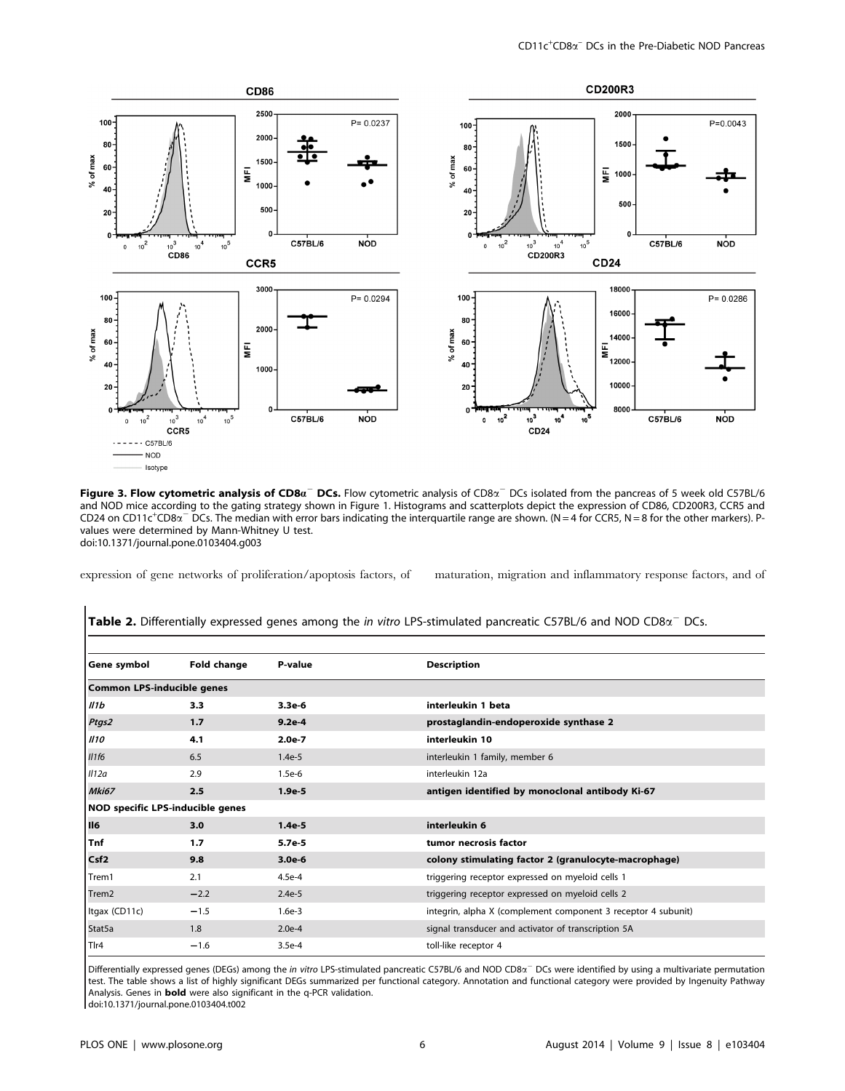

Figure 3. Flow cytometric analysis of CD8 $a^-$  DCs. Flow cytometric analysis of CD8 $a^-$  DCs isolated from the pancreas of 5 week old C57BL/6 and NOD mice according to the gating strategy shown in Figure 1. Histograms and scatterplots depict the expression of CD86, CD200R3, CCR5 and  $CD24$  on  $CD11c$ <sup>+</sup> $CD8\alpha$ <sup>-</sup> DCs. The median with error bars indicating the interquartile range are shown. (N = 4 for CCR5, N = 8 for the other markers). Pvalues were determined by Mann-Whitney U test. doi:10.1371/journal.pone.0103404.g003

expression of gene networks of proliferation/apoptosis factors, of maturation, migration and inflammatory response factors, and of

| Gene symbol                       | Fold change | P-value  | <b>Description</b>                                            |  |  |
|-----------------------------------|-------------|----------|---------------------------------------------------------------|--|--|
| <b>Common LPS-inducible genes</b> |             |          |                                                               |  |  |
| II1b                              | 3.3         | $3.3e-6$ | interleukin 1 beta                                            |  |  |
| Ptgs2                             | 1.7         | $9.2e-4$ | prostaglandin-endoperoxide synthase 2                         |  |  |
| II10                              | 4.1         | $2.0e-7$ | interleukin 10                                                |  |  |
| II1f6                             | 6.5         | $1.4e-5$ | interleukin 1 family, member 6                                |  |  |
| II12a                             | 2.9         | $1.5e-6$ | interleukin 12a                                               |  |  |
| Mki67                             | 2.5         | $1.9e-5$ | antigen identified by monoclonal antibody Ki-67               |  |  |
| NOD specific LPS-inducible genes  |             |          |                                                               |  |  |
| II6                               | 3.0         | $1.4e-5$ | interleukin 6                                                 |  |  |
| <b>Tnf</b>                        | 1.7         | $5.7e-5$ | tumor necrosis factor                                         |  |  |
| Csf <sub>2</sub>                  | 9.8         | $3.0e-6$ | colony stimulating factor 2 (granulocyte-macrophage)          |  |  |
| Trem1                             | 2.1         | $4.5e-4$ | triggering receptor expressed on myeloid cells 1              |  |  |
| Trem <sub>2</sub>                 | $-2.2$      | $2.4e-5$ | triggering receptor expressed on myeloid cells 2              |  |  |
| Itgax (CD11c)                     | $-1.5$      | $1.6e-3$ | integrin, alpha X (complement component 3 receptor 4 subunit) |  |  |
| Stat5a                            | 1.8         | $2.0e-4$ | signal transducer and activator of transcription 5A           |  |  |
| Tlr4                              | $-1.6$      | $3.5e-4$ | toll-like receptor 4                                          |  |  |

Table 2. Differentially expressed genes among the in vitro LPS-stimulated pancreatic C57BL/6 and NOD CD8 $\alpha^-$  DCs.

Differentially expressed genes (DEGs) among the in vitro LPS-stimulated pancreatic C57BL/6 and NOD CD8 $\alpha^-$  DCs were identified by using a multivariate permutation test. The table shows a list of highly significant DEGs summarized per functional category. Annotation and functional category were provided by Ingenuity Pathway Analysis. Genes in bold were also significant in the q-PCR validation.

doi:10.1371/journal.pone.0103404.t002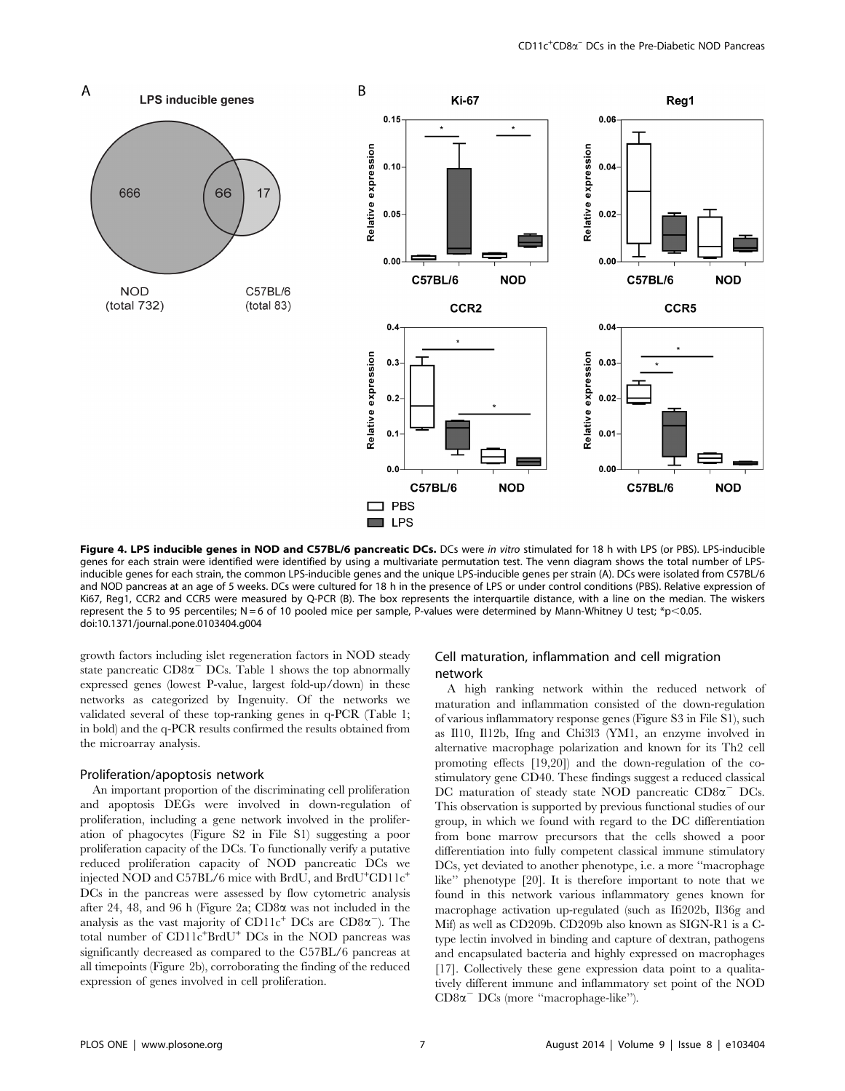

Figure 4. LPS inducible genes in NOD and C57BL/6 pancreatic DCs. DCs were in vitro stimulated for 18 h with LPS (or PBS). LPS-inducible genes for each strain were identified were identified by using a multivariate permutation test. The venn diagram shows the total number of LPSinducible genes for each strain, the common LPS-inducible genes and the unique LPS-inducible genes per strain (A). DCs were isolated from C57BL/6 and NOD pancreas at an age of 5 weeks. DCs were cultured for 18 h in the presence of LPS or under control conditions (PBS). Relative expression of Ki67, Reg1, CCR2 and CCR5 were measured by Q-PCR (B). The box represents the interquartile distance, with a line on the median. The wiskers represent the 5 to 95 percentiles; N = 6 of 10 pooled mice per sample, P-values were determined by Mann-Whitney U test; \*p $<$ 0.05. doi:10.1371/journal.pone.0103404.g004

growth factors including islet regeneration factors in NOD steady state pancreatic  $CD8\alpha$ <sup>-</sup> DCs. Table 1 shows the top abnormally expressed genes (lowest P-value, largest fold-up/down) in these networks as categorized by Ingenuity. Of the networks we validated several of these top-ranking genes in q-PCR (Table 1; in bold) and the q-PCR results confirmed the results obtained from the microarray analysis.

## Proliferation/apoptosis network

An important proportion of the discriminating cell proliferation and apoptosis DEGs were involved in down-regulation of proliferation, including a gene network involved in the proliferation of phagocytes (Figure S2 in File S1) suggesting a poor proliferation capacity of the DCs. To functionally verify a putative reduced proliferation capacity of NOD pancreatic DCs we injected NOD and C57BL/6 mice with BrdU, and BrdU<sup>+</sup>CD11c<sup>+</sup> DCs in the pancreas were assessed by flow cytometric analysis after 24, 48, and 96 h (Figure 2a; CD8a was not included in the analysis as the vast majority of  $CD11c^+$  DCs are  $CD8\alpha^-$ ). The total number of CD11c<sup>+</sup>BrdU<sup>+</sup> DCs in the NOD pancreas was significantly decreased as compared to the C57BL/6 pancreas at all timepoints (Figure 2b), corroborating the finding of the reduced expression of genes involved in cell proliferation.

## Cell maturation, inflammation and cell migration network

A high ranking network within the reduced network of maturation and inflammation consisted of the down-regulation of various inflammatory response genes (Figure S3 in File S1), such as Il10, Il12b, Ifng and Chi3l3 (YM1, an enzyme involved in alternative macrophage polarization and known for its Th2 cell promoting effects [19,20]) and the down-regulation of the costimulatory gene CD40. These findings suggest a reduced classical DC maturation of steady state NOD pancreatic  $CD8\alpha$ <sup>-</sup> DCs. This observation is supported by previous functional studies of our group, in which we found with regard to the DC differentiation from bone marrow precursors that the cells showed a poor differentiation into fully competent classical immune stimulatory DCs, yet deviated to another phenotype, i.e. a more ''macrophage like'' phenotype [20]. It is therefore important to note that we found in this network various inflammatory genes known for macrophage activation up-regulated (such as Ifi202b, Il36g and Mif) as well as CD209b. CD209b also known as SIGN-R1 is a Ctype lectin involved in binding and capture of dextran, pathogens and encapsulated bacteria and highly expressed on macrophages [17]. Collectively these gene expression data point to a qualitatively different immune and inflammatory set point of the NOD  $CD8\alpha$ <sup>-</sup> DCs (more "macrophage-like").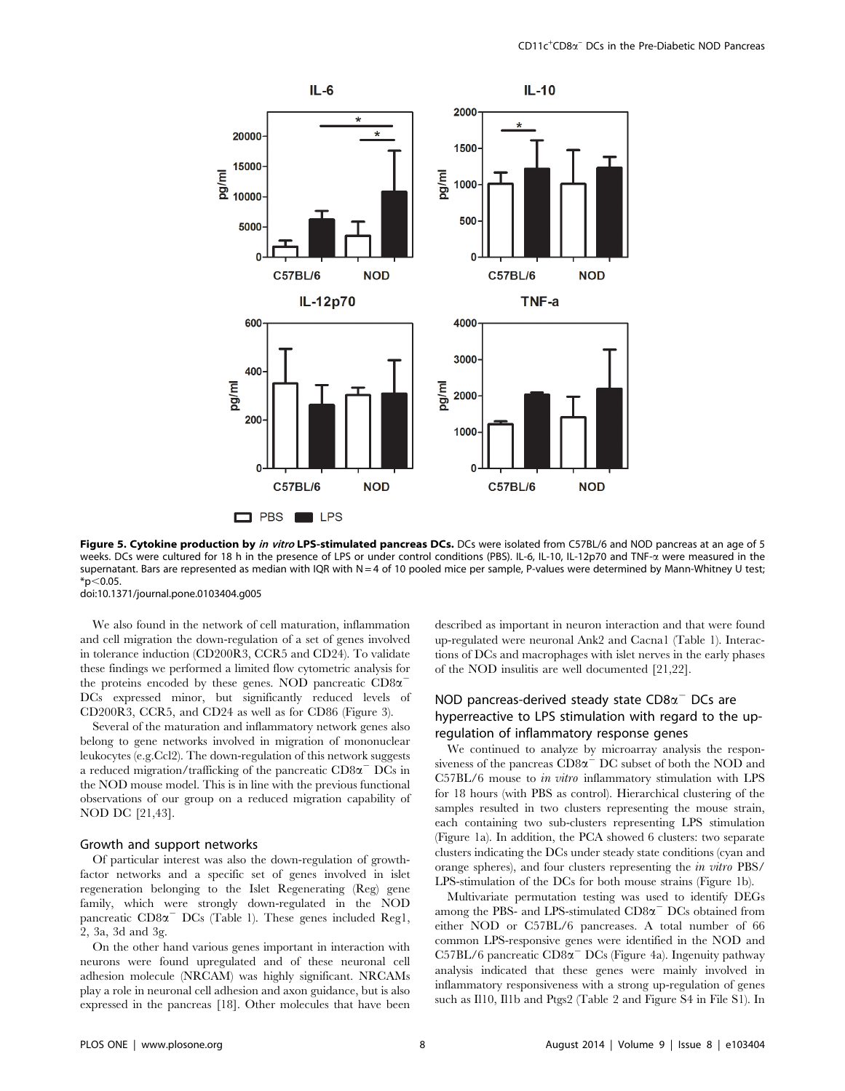

Figure 5. Cytokine production by in vitro LPS-stimulated pancreas DCs. DCs were isolated from C57BL/6 and NOD pancreas at an age of 5 weeks. DCs were cultured for 18 h in the presence of LPS or under control conditions (PBS). IL-6, IL-10, IL-12p70 and TNF- $\alpha$  were measured in the supernatant. Bars are represented as median with IQR with N = 4 of 10 pooled mice per sample, P-values were determined by Mann-Whitney U test;  $*p<0.05$ .

doi:10.1371/journal.pone.0103404.g005

We also found in the network of cell maturation, inflammation and cell migration the down-regulation of a set of genes involved in tolerance induction (CD200R3, CCR5 and CD24). To validate these findings we performed a limited flow cytometric analysis for the proteins encoded by these genes. NOD pancreatic  $CD8\alpha$ <sup>-</sup> DCs expressed minor, but significantly reduced levels of CD200R3, CCR5, and CD24 as well as for CD86 (Figure 3).

Several of the maturation and inflammatory network genes also belong to gene networks involved in migration of mononuclear leukocytes (e.g.Ccl2). The down-regulation of this network suggests a reduced migration/trafficking of the pancreatic  $CD8\alpha$ <sup>-</sup> DCs in the NOD mouse model. This is in line with the previous functional observations of our group on a reduced migration capability of NOD DC [21,43].

#### Growth and support networks

Of particular interest was also the down-regulation of growthfactor networks and a specific set of genes involved in islet regeneration belonging to the Islet Regenerating (Reg) gene family, which were strongly down-regulated in the NOD pancreatic  $CD8\alpha$ <sup>-</sup> DCs (Table 1). These genes included Reg1, 2, 3a, 3d and 3g.

On the other hand various genes important in interaction with neurons were found upregulated and of these neuronal cell adhesion molecule (NRCAM) was highly significant. NRCAMs play a role in neuronal cell adhesion and axon guidance, but is also expressed in the pancreas [18]. Other molecules that have been described as important in neuron interaction and that were found up-regulated were neuronal Ank2 and Cacna1 (Table 1). Interactions of DCs and macrophages with islet nerves in the early phases of the NOD insulitis are well documented [21,22].

# NOD pancreas-derived steady state  $CD8\alpha$ <sup>-</sup> DCs are hyperreactive to LPS stimulation with regard to the upregulation of inflammatory response genes

We continued to analyze by microarray analysis the responsiveness of the pancreas  $CD8\alpha$ <sup>-</sup> DC subset of both the NOD and C57BL/6 mouse to in vitro inflammatory stimulation with LPS for 18 hours (with PBS as control). Hierarchical clustering of the samples resulted in two clusters representing the mouse strain, each containing two sub-clusters representing LPS stimulation (Figure 1a). In addition, the PCA showed 6 clusters: two separate clusters indicating the DCs under steady state conditions (cyan and orange spheres), and four clusters representing the in vitro PBS/ LPS-stimulation of the DCs for both mouse strains (Figure 1b).

Multivariate permutation testing was used to identify DEGs among the PBS- and LPS-stimulated  $CD8\alpha$ <sup>-</sup> DCs obtained from either NOD or C57BL/6 pancreases. A total number of 66 common LPS-responsive genes were identified in the NOD and C57BL/6 pancreatic  $CD8\alpha$ <sup>-</sup> DCs (Figure 4a). Ingenuity pathway analysis indicated that these genes were mainly involved in inflammatory responsiveness with a strong up-regulation of genes such as Il10, Il1b and Ptgs2 (Table 2 and Figure S4 in File S1). In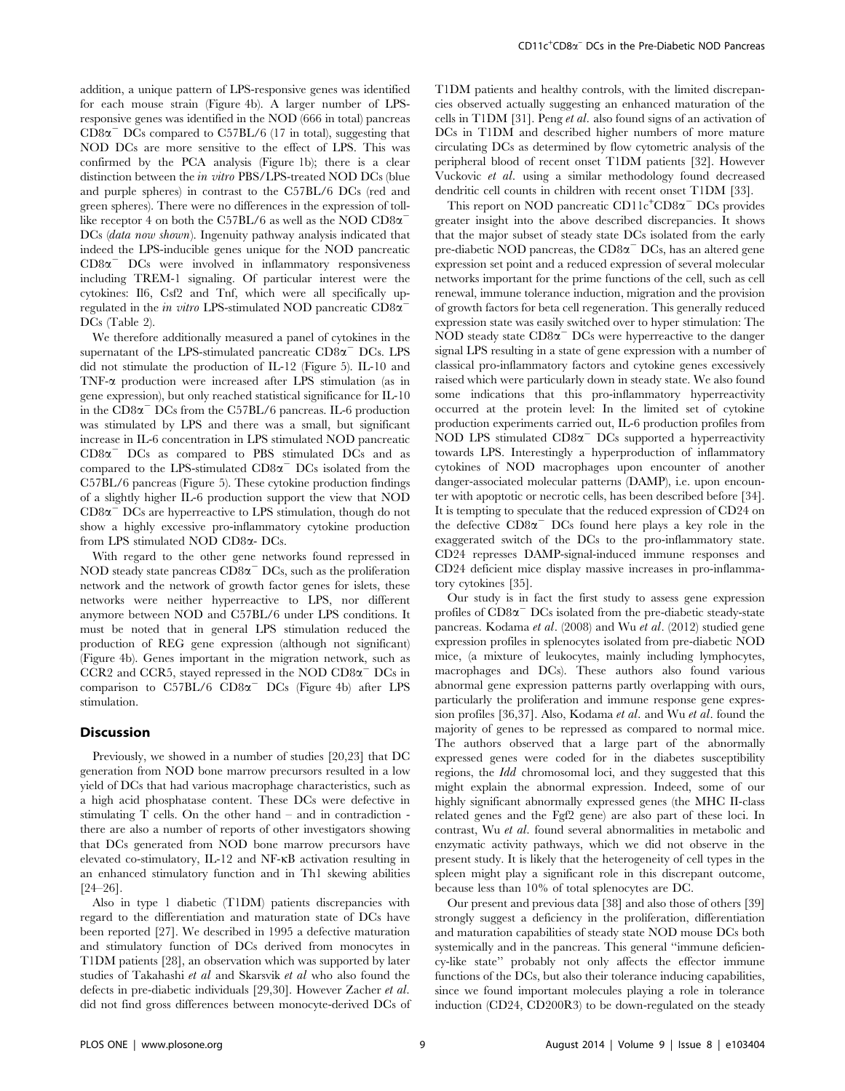addition, a unique pattern of LPS-responsive genes was identified for each mouse strain (Figure 4b). A larger number of LPSresponsive genes was identified in the NOD (666 in total) pancreas  $CD8\alpha$ <sup>-</sup> DCs compared to C57BL/6 (17 in total), suggesting that NOD DCs are more sensitive to the effect of LPS. This was confirmed by the PCA analysis (Figure 1b); there is a clear distinction between the *in vitro* PBS/LPS-treated NOD DCs (blue and purple spheres) in contrast to the C57BL/6 DCs (red and green spheres). There were no differences in the expression of tolllike receptor 4 on both the C57BL/6 as well as the NOD  $CD8\alpha$ <sup>-</sup> DCs (*data now shown*). Ingenuity pathway analysis indicated that indeed the LPS-inducible genes unique for the NOD pancreatic  $CD8\alpha$ <sup>-</sup> DCs were involved in inflammatory responsiveness including TREM-1 signaling. Of particular interest were the cytokines: Il6, Csf2 and Tnf, which were all specifically upregulated in the in vitro LPS-stimulated NOD pancreatic  $CD8\alpha$ <sup>-</sup> DCs (Table 2).

We therefore additionally measured a panel of cytokines in the supernatant of the LPS-stimulated pancreatic  $CD8\alpha$ <sup>-</sup> DCs. LPS did not stimulate the production of IL-12 (Figure 5). IL-10 and TNF-a production were increased after LPS stimulation (as in gene expression), but only reached statistical significance for IL-10 in the  $CD8\alpha$ <sup>-</sup> DCs from the C57BL/6 pancreas. IL-6 production was stimulated by LPS and there was a small, but significant increase in IL-6 concentration in LPS stimulated NOD pancreatic  $CD8\alpha$ <sup>-</sup> DC<sub>s</sub> as compared to PBS stimulated DC<sub>s</sub> and as compared to the LPS-stimulated  $CD8\alpha$ <sup>-</sup> DCs isolated from the C57BL/6 pancreas (Figure 5). These cytokine production findings of a slightly higher IL-6 production support the view that NOD  $CD8\alpha$ <sup>-</sup> DCs are hyperreactive to LPS stimulation, though do not show a highly excessive pro-inflammatory cytokine production from LPS stimulated NOD CD8a- DCs.

With regard to the other gene networks found repressed in NOD steady state pancreas  $CD8\alpha$ <sup>-</sup> DCs, such as the proliferation network and the network of growth factor genes for islets, these networks were neither hyperreactive to LPS, nor different anymore between NOD and C57BL/6 under LPS conditions. It must be noted that in general LPS stimulation reduced the production of REG gene expression (although not significant) (Figure 4b). Genes important in the migration network, such as CCR2 and CCR5, stayed repressed in the NOD  $CD8\alpha$ <sup>-</sup> DCs in comparison to  $C57BL/6$   $CD8\alpha$ <sup>-</sup>  $DCs$  (Figure 4b) after LPS stimulation.

## **Discussion**

Previously, we showed in a number of studies [20,23] that DC generation from NOD bone marrow precursors resulted in a low yield of DCs that had various macrophage characteristics, such as a high acid phosphatase content. These DCs were defective in stimulating T cells. On the other hand – and in contradiction there are also a number of reports of other investigators showing that DCs generated from NOD bone marrow precursors have elevated co-stimulatory, IL-12 and NF-kB activation resulting in an enhanced stimulatory function and in Th1 skewing abilities [24–26].

Also in type 1 diabetic (T1DM) patients discrepancies with regard to the differentiation and maturation state of DCs have been reported [27]. We described in 1995 a defective maturation and stimulatory function of DCs derived from monocytes in T1DM patients [28], an observation which was supported by later studies of Takahashi et al and Skarsvik et al who also found the defects in pre-diabetic individuals [29,30]. However Zacher et al. did not find gross differences between monocyte-derived DCs of T1DM patients and healthy controls, with the limited discrepancies observed actually suggesting an enhanced maturation of the cells in T1DM [31]. Peng et al. also found signs of an activation of DCs in T1DM and described higher numbers of more mature circulating DCs as determined by flow cytometric analysis of the peripheral blood of recent onset T1DM patients [32]. However Vuckovic et al. using a similar methodology found decreased dendritic cell counts in children with recent onset T1DM [33].

This report on NOD pancreatic CD11c<sup>+</sup>CD8 $\alpha$ <sup>-</sup> DCs provides greater insight into the above described discrepancies. It shows that the major subset of steady state DCs isolated from the early pre-diabetic NOD pancreas, the  $CD8\alpha$ <sup>-</sup> DCs, has an altered gene expression set point and a reduced expression of several molecular networks important for the prime functions of the cell, such as cell renewal, immune tolerance induction, migration and the provision of growth factors for beta cell regeneration. This generally reduced expression state was easily switched over to hyper stimulation: The NOD steady state  $CD8\alpha$ <sup>-</sup> DCs were hyperreactive to the danger signal LPS resulting in a state of gene expression with a number of classical pro-inflammatory factors and cytokine genes excessively raised which were particularly down in steady state. We also found some indications that this pro-inflammatory hyperreactivity occurred at the protein level: In the limited set of cytokine production experiments carried out, IL-6 production profiles from NOD LPS stimulated  $CD8\alpha$ <sup>-</sup> DCs supported a hyperreactivity towards LPS. Interestingly a hyperproduction of inflammatory cytokines of NOD macrophages upon encounter of another danger-associated molecular patterns (DAMP), i.e. upon encounter with apoptotic or necrotic cells, has been described before [34]. It is tempting to speculate that the reduced expression of CD24 on the defective  $CD8\alpha$ <sup>-</sup> DCs found here plays a key role in the exaggerated switch of the DCs to the pro-inflammatory state. CD24 represses DAMP-signal-induced immune responses and CD24 deficient mice display massive increases in pro-inflammatory cytokines [35].

Our study is in fact the first study to assess gene expression profiles of  $CD8\alpha$ <sup>-</sup> DCs isolated from the pre-diabetic steady-state pancreas. Kodama et al. (2008) and Wu et al. (2012) studied gene expression profiles in splenocytes isolated from pre-diabetic NOD mice, (a mixture of leukocytes, mainly including lymphocytes, macrophages and DCs). These authors also found various abnormal gene expression patterns partly overlapping with ours, particularly the proliferation and immune response gene expression profiles [36,37]. Also, Kodama et al. and Wu et al. found the majority of genes to be repressed as compared to normal mice. The authors observed that a large part of the abnormally expressed genes were coded for in the diabetes susceptibility regions, the Idd chromosomal loci, and they suggested that this might explain the abnormal expression. Indeed, some of our highly significant abnormally expressed genes (the MHC II-class related genes and the Fgf2 gene) are also part of these loci. In contrast, Wu et al. found several abnormalities in metabolic and enzymatic activity pathways, which we did not observe in the present study. It is likely that the heterogeneity of cell types in the spleen might play a significant role in this discrepant outcome, because less than 10% of total splenocytes are DC.

Our present and previous data [38] and also those of others [39] strongly suggest a deficiency in the proliferation, differentiation and maturation capabilities of steady state NOD mouse DCs both systemically and in the pancreas. This general ''immune deficiency-like state'' probably not only affects the effector immune functions of the DCs, but also their tolerance inducing capabilities, since we found important molecules playing a role in tolerance induction (CD24, CD200R3) to be down-regulated on the steady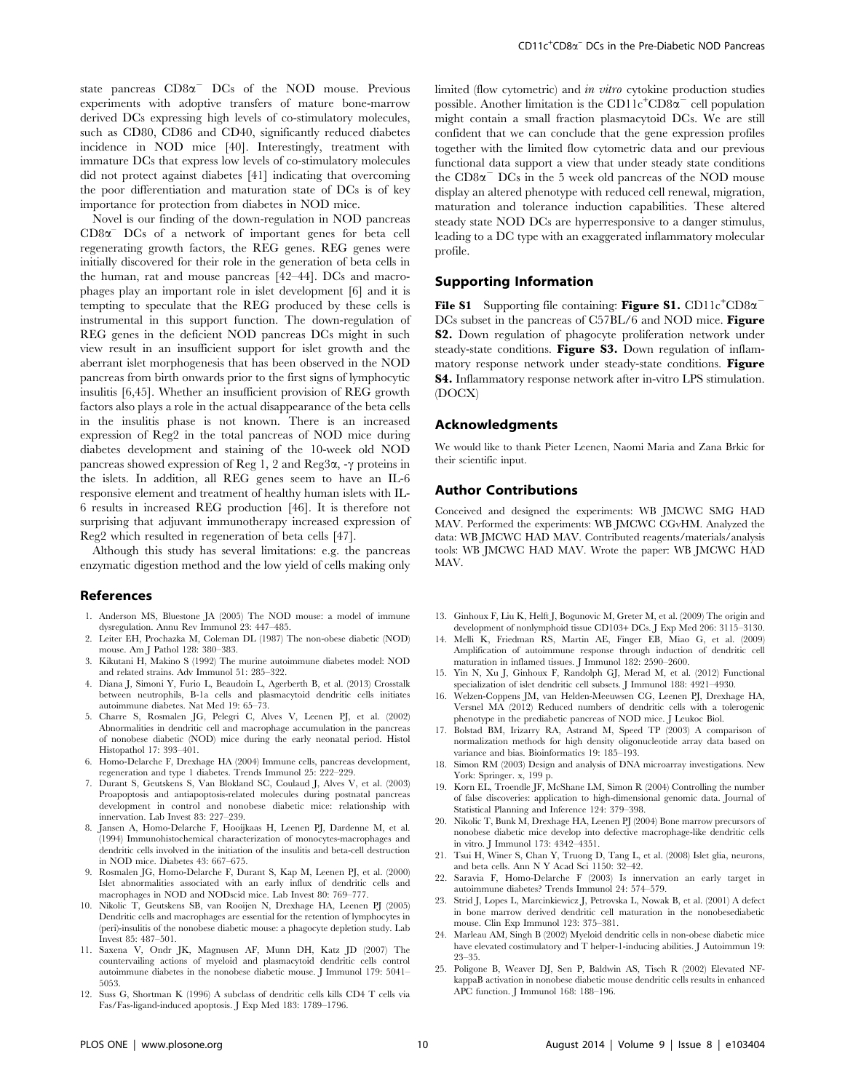state pancreas  $CD8\alpha$ <sup>-</sup> DCs of the NOD mouse. Previous experiments with adoptive transfers of mature bone-marrow derived DCs expressing high levels of co-stimulatory molecules, such as CD80, CD86 and CD40, significantly reduced diabetes incidence in NOD mice [40]. Interestingly, treatment with immature DCs that express low levels of co-stimulatory molecules did not protect against diabetes [41] indicating that overcoming the poor differentiation and maturation state of DCs is of key importance for protection from diabetes in NOD mice.

Novel is our finding of the down-regulation in NOD pancreas  $CD8\alpha$ <sup>–</sup> DCs of a network of important genes for beta cell regenerating growth factors, the REG genes. REG genes were initially discovered for their role in the generation of beta cells in the human, rat and mouse pancreas [42–44]. DCs and macrophages play an important role in islet development [6] and it is tempting to speculate that the REG produced by these cells is instrumental in this support function. The down-regulation of REG genes in the deficient NOD pancreas DCs might in such view result in an insufficient support for islet growth and the aberrant islet morphogenesis that has been observed in the NOD pancreas from birth onwards prior to the first signs of lymphocytic insulitis [6,45]. Whether an insufficient provision of REG growth factors also plays a role in the actual disappearance of the beta cells in the insulitis phase is not known. There is an increased expression of Reg2 in the total pancreas of NOD mice during diabetes development and staining of the 10-week old NOD pancreas showed expression of Reg 1, 2 and Reg3 $\alpha$ , - $\gamma$  proteins in the islets. In addition, all REG genes seem to have an IL-6 responsive element and treatment of healthy human islets with IL-6 results in increased REG production [46]. It is therefore not surprising that adjuvant immunotherapy increased expression of Reg2 which resulted in regeneration of beta cells [47].

Although this study has several limitations: e.g. the pancreas enzymatic digestion method and the low yield of cells making only

#### References

- 1. Anderson MS, Bluestone JA (2005) The NOD mouse: a model of immune dysregulation. Annu Rev Immunol 23: 447–485.
- 2. Leiter EH, Prochazka M, Coleman DL (1987) The non-obese diabetic (NOD) mouse. Am J Pathol 128: 380–383.
- 3. Kikutani H, Makino S (1992) The murine autoimmune diabetes model: NOD and related strains. Adv Immunol 51: 285–322.
- 4. Diana J, Simoni Y, Furio L, Beaudoin L, Agerberth B, et al. (2013) Crosstalk between neutrophils, B-1a cells and plasmacytoid dendritic cells initiates autoimmune diabetes. Nat Med 19: 65–73.
- 5. Charre S, Rosmalen JG, Pelegri C, Alves V, Leenen PJ, et al. (2002) Abnormalities in dendritic cell and macrophage accumulation in the pancreas of nonobese diabetic (NOD) mice during the early neonatal period. Histol Histopathol 17: 393–401.
- 6. Homo-Delarche F, Drexhage HA (2004) Immune cells, pancreas development, regeneration and type 1 diabetes. Trends Immunol 25: 222–229.
- 7. Durant S, Geutskens S, Van Blokland SC, Coulaud J, Alves V, et al. (2003) Proapoptosis and antiapoptosis-related molecules during postnatal pancreas development in control and nonobese diabetic mice: relationship with innervation. Lab Invest 83: 227–239.
- 8. Jansen A, Homo-Delarche F, Hooijkaas H, Leenen PJ, Dardenne M, et al. (1994) Immunohistochemical characterization of monocytes-macrophages and dendritic cells involved in the initiation of the insulitis and beta-cell destruction in NOD mice. Diabetes 43: 667–675.
- 9. Rosmalen JG, Homo-Delarche F, Durant S, Kap M, Leenen PJ, et al. (2000) Islet abnormalities associated with an early influx of dendritic cells and macrophages in NOD and NODscid mice. Lab Invest 80: 769–777.
- 10. Nikolic T, Geutskens SB, van Rooijen N, Drexhage HA, Leenen PJ (2005) Dendritic cells and macrophages are essential for the retention of lymphocytes in (peri)-insulitis of the nonobese diabetic mouse: a phagocyte depletion study. Lab Invest 85: 487–501.
- 11. Saxena V, Ondr JK, Magnusen AF, Munn DH, Katz JD (2007) The countervailing actions of myeloid and plasmacytoid dendritic cells control autoimmune diabetes in the nonobese diabetic mouse. J Immunol 179: 5041– 5053.
- 12. Suss G, Shortman K (1996) A subclass of dendritic cells kills CD4 T cells via Fas/Fas-ligand-induced apoptosis. J Exp Med 183: 1789–1796.

limited (flow cytometric) and in vitro cytokine production studies possible. Another limitation is the CD11c<sup>+</sup>CD8 $\alpha$ <sup>-</sup> cell population might contain a small fraction plasmacytoid DCs. We are still confident that we can conclude that the gene expression profiles together with the limited flow cytometric data and our previous functional data support a view that under steady state conditions the  $CD8\alpha$ <sup>-</sup> DCs in the 5 week old pancreas of the NOD mouse display an altered phenotype with reduced cell renewal, migration, maturation and tolerance induction capabilities. These altered steady state NOD DCs are hyperresponsive to a danger stimulus, leading to a DC type with an exaggerated inflammatory molecular profile.

## Supporting Information

File S1 Supporting file containing: Figure S1. CD11c<sup>+</sup>CD8 $\alpha$ <sup>-</sup> DCs subset in the pancreas of C57BL/6 and NOD mice. Figure S2. Down regulation of phagocyte proliferation network under steady-state conditions. Figure S3. Down regulation of inflammatory response network under steady-state conditions. Figure S4. Inflammatory response network after in-vitro LPS stimulation. (DOCX)

#### Acknowledgments

We would like to thank Pieter Leenen, Naomi Maria and Zana Brkic for their scientific input.

## Author Contributions

Conceived and designed the experiments: WB JMCWC SMG HAD MAV. Performed the experiments: WB JMCWC CGvHM. Analyzed the data: WB JMCWC HAD MAV. Contributed reagents/materials/analysis tools: WB JMCWC HAD MAV. Wrote the paper: WB JMCWC HAD MAV.

- 13. Ginhoux F, Liu K, Helft J, Bogunovic M, Greter M, et al. (2009) The origin and development of nonlymphoid tissue CD103+ DCs. J Exp Med 206: 3115–3130.
- 14. Melli K, Friedman RS, Martin AE, Finger EB, Miao G, et al. (2009) Amplification of autoimmune response through induction of dendritic cell maturation in inflamed tissues. J Immunol 182: 2590–2600.
- 15. Yin N, Xu J, Ginhoux F, Randolph GJ, Merad M, et al. (2012) Functional specialization of islet dendritic cell subsets. J Immunol 188: 4921–4930.
- 16. Welzen-Coppens JM, van Helden-Meeuwsen CG, Leenen PJ, Drexhage HA, Versnel MA (2012) Reduced numbers of dendritic cells with a tolerogenic phenotype in the prediabetic pancreas of NOD mice. J Leukoc Biol.
- 17. Bolstad BM, Irizarry RA, Astrand M, Speed TP (2003) A comparison of normalization methods for high density oligonucleotide array data based on variance and bias. Bioinformatics 19: 185–193.
- 18. Simon RM (2003) Design and analysis of DNA microarray investigations. New York: Springer. x, 199 p.
- 19. Korn EL, Troendle JF, McShane LM, Simon R (2004) Controlling the number of false discoveries: application to high-dimensional genomic data. Journal of Statistical Planning and Inference 124: 379–398.
- 20. Nikolic T, Bunk M, Drexhage HA, Leenen PJ (2004) Bone marrow precursors of nonobese diabetic mice develop into defective macrophage-like dendritic cells in vitro. J Immunol 173: 4342–4351.
- 21. Tsui H, Winer S, Chan Y, Truong D, Tang L, et al. (2008) Islet glia, neurons, and beta cells. Ann N Y Acad Sci 1150: 32–42.
- 22. Saravia F, Homo-Delarche F (2003) Is innervation an early target in autoimmune diabetes? Trends Immunol 24: 574–579.
- 23. Strid J, Lopes L, Marcinkiewicz J, Petrovska L, Nowak B, et al. (2001) A defect in bone marrow derived dendritic cell maturation in the nonobesediabetic mouse. Clin Exp Immunol 123: 375–381.
- 24. Marleau AM, Singh B (2002) Myeloid dendritic cells in non-obese diabetic mice have elevated costimulatory and T helper-1-inducing abilities. J Autoimmun 19: 23–35.
- 25. Poligone B, Weaver DJ, Sen P, Baldwin AS, Tisch R (2002) Elevated NFkappaB activation in nonobese diabetic mouse dendritic cells results in enhanced APC function. J Immunol 168: 188–196.